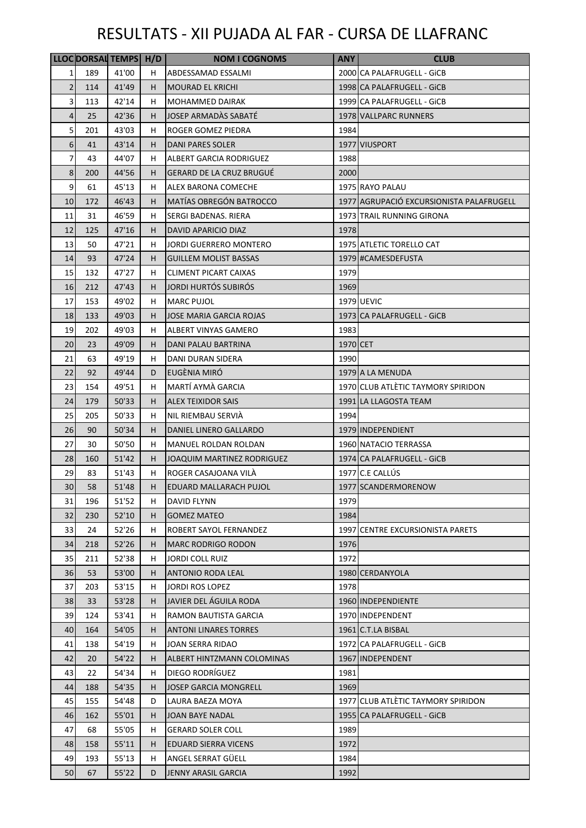|                |            | LLOC DORSAL TEMPS H/D |          | <b>NOM I COGNOMS</b>                                   | <b>ANY</b> | <b>CLUB</b>                              |
|----------------|------------|-----------------------|----------|--------------------------------------------------------|------------|------------------------------------------|
| 1              | 189        | 41'00                 | H.       | ABDESSAMAD ESSALMI                                     |            | 2000 CA PALAFRUGELL - GICB               |
| $\overline{2}$ | 114        | 41'49                 | H.       | <b>MOURAD EL KRICHI</b>                                |            | 1998 CA PALAFRUGELL - GICB               |
| 3              | 113        | 42'14                 | H        | <b>MOHAMMED DAIRAK</b>                                 |            | 1999 CA PALAFRUGELL - GICB               |
| 4              | 25         | 42'36                 | H.       | JOSEP ARMADAS SABATÉ                                   |            | 1978 VALLPARC RUNNERS                    |
| 5              | 201        | 43'03                 | Н.       | ROGER GOMEZ PIEDRA                                     | 1984       |                                          |
| 6              | 41         | 43'14                 | H.       | <b>DANI PARES SOLER</b>                                |            | 1977 VIUSPORT                            |
| 7              | 43         | 44'07                 | H        | ALBERT GARCIA RODRIGUEZ                                | 1988       |                                          |
| 8              | 200        | 44'56                 | H.       | <b>GERARD DE LA CRUZ BRUGUÉ</b>                        | 2000       |                                          |
| 9              | 61         | 45'13                 | H        | ALEX BARONA COMECHE                                    |            | 1975 RAYO PALAU                          |
| 10             | 172        | 46'43                 | H.       | <b>MATÍAS OBREGÓN BATROCCO</b>                         |            | 1977 AGRUPACIÓ EXCURSIONISTA PALAFRUGELL |
| 11             | 31         | 46'59                 | Н.       | SERGI BADENAS. RIERA                                   |            | 1973 TRAIL RUNNING GIRONA                |
| 12             | 125        | 47'16                 | H.       | DAVID APARICIO DIAZ                                    | 1978       |                                          |
| 13             | 50         | 47'21                 | H.       | <b>JORDI GUERRERO MONTERO</b>                          |            | 1975 ATLETIC TORELLO CAT                 |
| 14             | 93         | 47'24                 | H.       | <b>GUILLEM MOLIST BASSAS</b>                           |            | 1979 #CAMESDEFUSTA                       |
| 15             | 132        | 47'27                 | H        | <b>CLIMENT PICART CAIXAS</b>                           | 1979       |                                          |
| 16             | 212        | 47'43                 | H.       | JORDI HURTÓS SUBIRÓS                                   | 1969       |                                          |
| 17             | 153        | 49'02                 | H.       | <b>MARC PUJOL</b>                                      |            | <b>1979 UEVIC</b>                        |
|                |            | 49'03                 |          |                                                        |            |                                          |
| 18<br>19       | 133<br>202 | 49'03                 | H.<br>H. | <b>JOSE MARIA GARCIA ROJAS</b><br>ALBERT VINYAS GAMERO | 1983       | 1973 CA PALAFRUGELL - GICB               |
|                |            |                       |          |                                                        |            |                                          |
| 20             | 23         | 49'09                 | H.       | DANI PALAU BARTRINA                                    | 1970 CET   |                                          |
| 21             | 63         | 49'19                 | H        | DANI DURAN SIDERA                                      | 1990       |                                          |
| 22             | 92         | 49'44                 | D        | EUGÈNIA MIRÓ                                           |            | 1979 A LA MENUDA                         |
| 23             | 154        | 49'51                 | H.       | MARTÍ AYMÀ GARCIA                                      |            | 1970 CLUB ATLÈTIC TAYMORY SPIRIDON       |
| 24             | 179        | 50'33                 | H.       | ALEX TEIXIDOR SAIS                                     |            | 1991 LA LLAGOSTA TEAM                    |
| 25             | 205        | 50'33                 | H        | NIL RIEMBAU SERVIÀ                                     | 1994       |                                          |
| 26             | 90         | 50'34                 | H.       | DANIEL LINERO GALLARDO                                 |            | 1979 INDEPENDIENT                        |
| 27             | 30         | 50'50                 | H        | MANUEL ROLDAN ROLDAN                                   |            | 1960 NATACIO TERRASSA                    |
| 28             | 160        | 51'42                 | H.       | JOAQUIM MARTINEZ RODRIGUEZ                             |            | 1974 CA PALAFRUGELL - GICB               |
| 29             | 83         | 51'43                 | H.       | ROGER CASAJOANA VILA                                   |            | 1977 C.E CALLÚS                          |
| 30             | 58         | 51'48                 | H.       | <b>EDUARD MALLARACH PUJOL</b>                          |            | 1977 SCANDERMORENOW                      |
| 31             | 196        | 51'52                 | H.       | <b>DAVID FLYNN</b>                                     | 1979       |                                          |
| 32             | 230        | 52'10                 | H.       | <b>GOMEZ MATEO</b>                                     | 1984       |                                          |
| 33             | 24         | 52'26                 | H        | ROBERT SAYOL FERNANDEZ                                 |            | 1997 CENTRE EXCURSIONISTA PARETS         |
| 34             | 218        | 52'26                 | H.       | <b>MARC RODRIGO RODON</b>                              | 1976       |                                          |
| 35             | 211        | 52'38                 | H        | JORDI COLL RUIZ                                        | 1972       |                                          |
| 36             | 53         | 53'00                 | H.       | <b>ANTONIO RODA LEAL</b>                               |            | 1980 CERDANYOLA                          |
| 37             | 203        | 53'15                 | Н.       | <b>JORDI ROS LOPEZ</b>                                 | 1978       |                                          |
| 38             | 33         | 53'28                 | H.       | JAVIER DEL ÁGUILA RODA                                 |            | 1960 INDEPENDIENTE                       |
| 39             | 124        | 53'41                 | Н.       | <b>RAMON BAUTISTA GARCIA</b>                           |            | 1970 INDEPENDENT                         |
| 40             | 164        | 54'05                 | H.       | <b>ANTONI LINARES TORRES</b>                           |            | 1961 C.T.LA BISBAL                       |
| 41             | 138        | 54'19                 | H.       | JOAN SERRA RIDAO                                       |            | 1972 CA PALAFRUGELL - GICB               |
| 42             | 20         | 54'22                 | H.       | <b>ALBERT HINTZMANN COLOMINAS</b>                      |            | 1967 INDEPENDENT                         |
| 43             | 22         | 54'34                 | Н.       | DIEGO RODRÍGUEZ                                        | 1981       |                                          |
| 44             | 188        | 54'35                 | H.       | <b>JOSEP GARCIA MONGRELL</b>                           | 1969       |                                          |
| 45             | 155        | 54'48                 | D        | LAURA BAEZA MOYA                                       |            | 1977 CLUB ATLÈTIC TAYMORY SPIRIDON       |
| 46             | 162        | 55'01                 | Н.       | <b>JOAN BAYE NADAL</b>                                 |            | 1955 CA PALAFRUGELL - GICB               |
| 47             | 68         | 55'05                 | Н.       | <b>GERARD SOLER COLL</b>                               | 1989       |                                          |
| 48             | 158        | 55'11                 | Н.       | <b>EDUARD SIERRA VICENS</b>                            | 1972       |                                          |
| 49             | 193        | 55'13                 | Н.       | ANGEL SERRAT GÜELL                                     | 1984       |                                          |
| 50             | 67         | 55'22                 | D        | JENNY ARASIL GARCIA                                    | 1992       |                                          |
|                |            |                       |          |                                                        |            |                                          |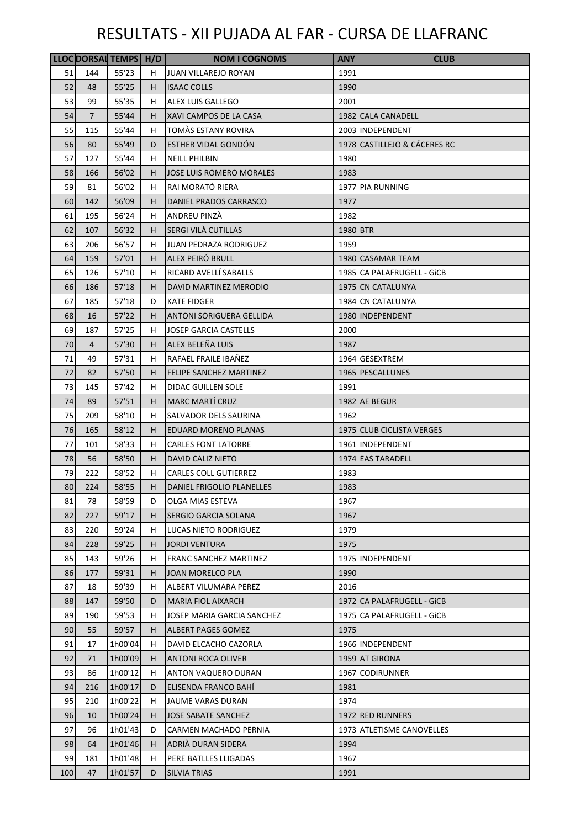|     |                | LLOC DORSAL TEMPS H/D |    | <b>NOM I COGNOMS</b>            | <b>ANY</b> | <b>CLUB</b>                  |
|-----|----------------|-----------------------|----|---------------------------------|------------|------------------------------|
| 51  | 144            | 55'23                 | H  | <b>JUAN VILLAREJO ROYAN</b>     | 1991       |                              |
| 52  | 48             | 55'25                 | H  | <b>ISAAC COLLS</b>              | 1990       |                              |
| 53  | 99             | 55'35                 | н  | ALEX LUIS GALLEGO               | 2001       |                              |
| 54  | $\overline{7}$ | 55'44                 | н  | XAVI CAMPOS DE LA CASA          |            | 1982 CALA CANADELL           |
| 55  | 115            | 55'44                 | н  | TOMÁS ESTANY ROVIRA             |            | 2003 INDEPENDENT             |
| 56  | 80             | 55'49                 | D  | ESTHER VIDAL GONDON             |            | 1978 CASTILLEJO & CÁCERES RC |
| 57  | 127            | 55'44                 | H  | <b>NEILL PHILBIN</b>            | 1980       |                              |
| 58  | 166            | 56'02                 | H  | <b>JOSE LUIS ROMERO MORALES</b> | 1983       |                              |
| 59  | 81             | 56'02                 | н  | RAI MORATÓ RIERA                |            | 1977 PIA RUNNING             |
| 60  | 142            | 56'09                 | н  | DANIEL PRADOS CARRASCO          | 1977       |                              |
| 61  | 195            | 56'24                 | н  | ANDREU PINZA                    | 1982       |                              |
| 62  | 107            | 56'32                 | H  | SERGI VILÀ CUTILLAS             | 1980 BTR   |                              |
| 63  | 206            | 56'57                 | H. | <b>JUAN PEDRAZA RODRIGUEZ</b>   | 1959       |                              |
| 64  | 159            | 57'01                 | H  | ALEX PEIRÓ BRULL                |            | 1980 CASAMAR TEAM            |
| 65  | 126            | 57'10                 | н  | RICARD AVELLÍ SABALLS           |            | 1985 CA PALAFRUGELL - GICB   |
| 66  | 186            | 57'18                 | H  | DAVID MARTINEZ MERODIO          |            | 1975 CN CATALUNYA            |
| 67  | 185            | 57'18                 | D  | <b>KATE FIDGER</b>              |            | 1984 CN CATALUNYA            |
| 68  | 16             | 57'22                 | H  | <b>ANTONI SORIGUERA GELLIDA</b> |            | 1980 INDEPENDENT             |
| 69  | 187            | 57'25                 | H  | <b>JOSEP GARCIA CASTELLS</b>    | 2000       |                              |
| 70  | 4              | 57'30                 | H  | ALEX BELEÑA LUIS                | 1987       |                              |
| 71  | 49             | 57'31                 | н  | RAFAEL FRAILE IBAÑEZ            |            | 1964 GESEXTREM               |
| 72  | 82             | 57'50                 | н  | FELIPE SANCHEZ MARTINEZ         |            | 1965 PESCALLUNES             |
| 73  | 145            | 57'42                 | н  | DIDAC GUILLEN SOLE              | 1991       |                              |
| 74  | 89             | 57'51                 | н  | <b>MARC MARTÍ CRUZ</b>          |            | 1982 AE BEGUR                |
| 75  | 209            | 58'10                 | н  | SALVADOR DELS SAURINA           | 1962       |                              |
| 76  | 165            | 58'12                 | H  | <b>EDUARD MORENO PLANAS</b>     |            | 1975 CLUB CICLISTA VERGES    |
| 77  | 101            | 58'33                 | H  | <b>CARLES FONT LATORRE</b>      |            | 1961 INDEPENDENT             |
| 78  | 56             | 58'50                 | н  | <b>DAVID CALIZ NIETO</b>        |            | 1974 EAS TARADELL            |
| 79  | 222            | 58'52                 | H  | <b>CARLES COLL GUTIERREZ</b>    | 1983       |                              |
| 80  | 224            | 58'55                 | н  | DANIEL FRIGOLIO PLANELLES       | 1983       |                              |
| 81  | 78             | 58'59                 | D  | OLGA MIAS ESTEVA                | 1967       |                              |
| 82  | 227            | 59'17                 | H  | SERGIO GARCIA SOLANA            | 1967       |                              |
| 83  | 220            | 59'24                 | H  | LUCAS NIETO RODRIGUEZ           | 1979       |                              |
| 84  | 228            | 59'25                 | H  | <b>JORDI VENTURA</b>            | 1975       |                              |
| 85  | 143            | 59'26                 | н  | <b>FRANC SANCHEZ MARTINEZ</b>   |            | 1975 INDEPENDENT             |
| 86  | 177            | 59'31                 | H  | JOAN MORELCO PLA                | 1990       |                              |
| 87  | 18             | 59'39                 | н  | ALBERT VILUMARA PEREZ           | 2016       |                              |
| 88  | 147            | 59'50                 | D  | <b>MARIA FIOL AIXARCH</b>       |            | 1972 CA PALAFRUGELL - GICB   |
| 89  | 190            | 59'53                 | H  | JOSEP MARIA GARCIA SANCHEZ      |            | 1975 CA PALAFRUGELL - GICB   |
| 90  | 55             | 59'57                 | H  | ALBERT PAGES GOMEZ              | 1975       |                              |
| 91  | 17             | 1h00'04               | н  | DAVID ELCACHO CAZORLA           |            | 1966 INDEPENDENT             |
| 92  | 71             | 1h00'09               | н  | <b>ANTONI ROCA OLIVER</b>       |            | 1959 AT GIRONA               |
| 93  | 86             | 1h00'12               | н  | ANTON VAQUERO DURAN             |            | 1967 CODIRUNNER              |
| 94  | 216            | 1h00'17               | D  | ELISENDA FRANCO BAHI            | 1981       |                              |
| 95  | 210            | 1h00'22               | H  | JAUME VARAS DURAN               | 1974       |                              |
| 96  | 10             | 1h00'24               | H  | <b>JOSE SABATE SANCHEZ</b>      |            | 1972 RED RUNNERS             |
| 97  | 96             | 1h01'43               | D  | CARMEN MACHADO PERNIA           |            | 1973 ATLETISME CANOVELLES    |
| 98  | 64             | 1h01'46               | H  | ADRIÀ DURAN SIDERA              | 1994       |                              |
| 99  | 181            | 1h01'48               | H. | PERE BATLLES LLIGADAS           | 1967       |                              |
| 100 | 47             | 1h01'57               | D  | SILVIA TRIAS                    | 1991       |                              |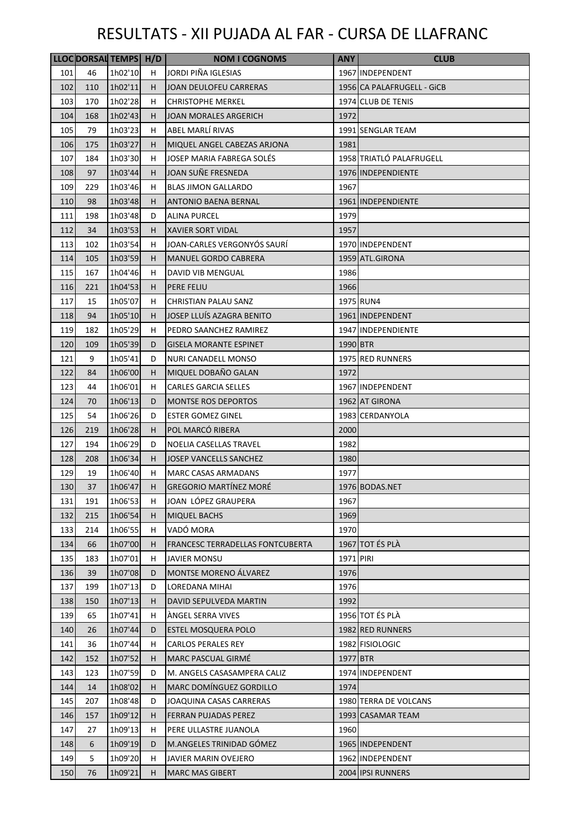|     |     | LLOC DORSAL TEMPS H/D |    | <b>NOM I COGNOMS</b>                    | <b>ANY</b> | <b>CLUB</b>                |
|-----|-----|-----------------------|----|-----------------------------------------|------------|----------------------------|
| 101 | 46  | 1h02'10               | H  | JORDI PIÑA IGLESIAS                     |            | 1967 INDEPENDENT           |
| 102 | 110 | 1h02'11               | н  | JOAN DEULOFEU CARRERAS                  |            | 1956 CA PALAFRUGELL - GICB |
| 103 | 170 | 1h02'28               | H. | <b>CHRISTOPHE MERKEL</b>                |            | 1974 CLUB DE TENIS         |
| 104 | 168 | 1h02'43               | H  | <b>JOAN MORALES ARGERICH</b>            | 1972       |                            |
| 105 | 79  | 1h03'23               | H  | ABEL MARLÍ RIVAS                        |            | 1991 SENGLAR TEAM          |
| 106 | 175 | 1h03'27               | H  | MIQUEL ANGEL CABEZAS ARJONA             | 1981       |                            |
| 107 | 184 | 1h03'30               | н  | JOSEP MARIA FABREGA SOLÉS               |            | 1958 TRIATLÓ PALAFRUGELL   |
| 108 | 97  | 1h03'44               | н  | JOAN SUÑE FRESNEDA                      |            | 1976 INDEPENDIENTE         |
| 109 | 229 | 1h03'46               | H  | <b>BLAS JIMON GALLARDO</b>              | 1967       |                            |
| 110 | 98  | 1h03'48               | н  | <b>ANTONIO BAENA BERNAL</b>             |            | 1961 INDEPENDIENTE         |
| 111 | 198 | 1h03'48               | D  | ALINA PURCEL                            | 1979       |                            |
| 112 | 34  | 1h03'53               | H  | <b>XAVIER SORT VIDAL</b>                | 1957       |                            |
| 113 | 102 | 1h03'54               | H  | JOAN-CARLES VERGONYÓS SAURÍ             |            | 1970 INDEPENDENT           |
| 114 | 105 | 1h03'59               | H  | <b>MANUEL GORDO CABRERA</b>             |            | 1959 ATL.GIRONA            |
| 115 | 167 | 1h04'46               | H  | DAVID VIB MENGUAL                       | 1986       |                            |
| 116 | 221 | 1h04'53               | н  | PERE FELIU                              | 1966       |                            |
| 117 | 15  | 1h05'07               | H  | CHRISTIAN PALAU SANZ                    |            | 1975 RUN4                  |
| 118 | 94  | 1h05'10               | H  | JOSEP LLUÍS AZAGRA BENITO               |            | 1961 INDEPENDENT           |
| 119 | 182 | 1h05'29               | H  | PEDRO SAANCHEZ RAMIREZ                  |            | 1947 INDEPENDIENTE         |
| 120 | 109 | 1h05'39               | D  | <b>GISELA MORANTE ESPINET</b>           | 1990 BTR   |                            |
| 121 | 9   | 1h05'41               | D  | NURI CANADELL MONSO                     |            | 1975 RED RUNNERS           |
| 122 | 84  | 1h06'00               | н  | MIQUEL DOBAÑO GALAN                     | 1972       |                            |
| 123 | 44  | 1h06'01               | H  | <b>CARLES GARCIA SELLES</b>             |            | 1967 INDEPENDENT           |
| 124 | 70  | 1h06'13               | D  | <b>MONTSE ROS DEPORTOS</b>              |            | 1962 AT GIRONA             |
| 125 | 54  | 1h06'26               | D  | <b>ESTER GOMEZ GINEL</b>                |            | 1983 CERDANYOLA            |
| 126 | 219 | 1h06'28               | H  | POL MARCÓ RIBERA                        | 2000       |                            |
| 127 | 194 | 1h06'29               | D  | NOELIA CASELLAS TRAVEL                  | 1982       |                            |
| 128 | 208 | 1h06'34               | н  | <b>JOSEP VANCELLS SANCHEZ</b>           | 1980       |                            |
| 129 | 19  | 1h06'40               | H  | <b>MARC CASAS ARMADANS</b>              | 1977       |                            |
| 130 | 37  | 1h06'47               | H. | <b>GREGORIO MARTÍNEZ MORÉ</b>           |            | 1976 BODAS.NET             |
| 131 | 191 | 1h06'53               | H. | JOAN LÓPEZ GRAUPERA                     | 1967       |                            |
| 132 | 215 | 1h06'54               | H  | <b>MIQUEL BACHS</b>                     | 1969       |                            |
| 133 | 214 | 1h06'55               | н  | VADÓ MORA                               | 1970       |                            |
| 134 | 66  | 1h07'00               | н  | <b>FRANCESC TERRADELLAS FONTCUBERTA</b> |            | 1967 TOT ÉS PLÀ            |
| 135 | 183 | 1h07'01               | H. | <b>JAVIER MONSU</b>                     | 1971 PIRI  |                            |
| 136 | 39  | 1h07'08               | D  | <b>MONTSE MORENO ALVAREZ</b>            | 1976       |                            |
| 137 | 199 | 1h07'13               | D  | LOREDANA MIHAI                          | 1976       |                            |
| 138 | 150 | 1h07'13               | H  | DAVID SEPULVEDA MARTIN                  | 1992       |                            |
| 139 | 65  | 1h07'41               | H  | ÁNGEL SERRA VIVES                       |            | 1956 TOT ÉS PLÀ            |
| 140 | 26  | 1h07'44               | D  | <b>ESTEL MOSQUERA POLO</b>              |            | 1982 RED RUNNERS           |
| 141 | 36  | 1h07'44               | H  | <b>CARLOS PERALES REY</b>               |            | 1982 FISIOLOGIC            |
| 142 | 152 | 1h07'52               | H. | <b>MARC PASCUAL GIRMÉ</b>               | 1977 BTR   |                            |
| 143 | 123 | 1h07'59               | D  | M. ANGELS CASASAMPERA CALIZ             |            | 1974 INDEPENDENT           |
| 144 | 14  | 1h08'02               | H. | MARC DOMÍNGUEZ GORDILLO                 | 1974       |                            |
| 145 | 207 | 1h08'48               | D  | JOAQUINA CASAS CARRERAS                 |            | 1980 TERRA DE VOLCANS      |
| 146 | 157 | 1h09'12               | H  | <b>FERRAN PUJADAS PEREZ</b>             |            | 1993 CASAMAR TEAM          |
| 147 | 27  | 1h09'13               | H. | PERE ULLASTRE JUANOLA                   | 1960       |                            |
| 148 | 6   | 1h09'19               | D  | M.ANGELES TRINIDAD GÓMEZ                |            | 1965 INDEPENDENT           |
| 149 | 5   | 1h09'20               | H  | JAVIER MARIN OVEJERO                    |            | 1962 INDEPENDENT           |
| 150 | 76  | 1h09'21               | H  | <b>MARC MAS GIBERT</b>                  |            | 2004 IPSI RUNNERS          |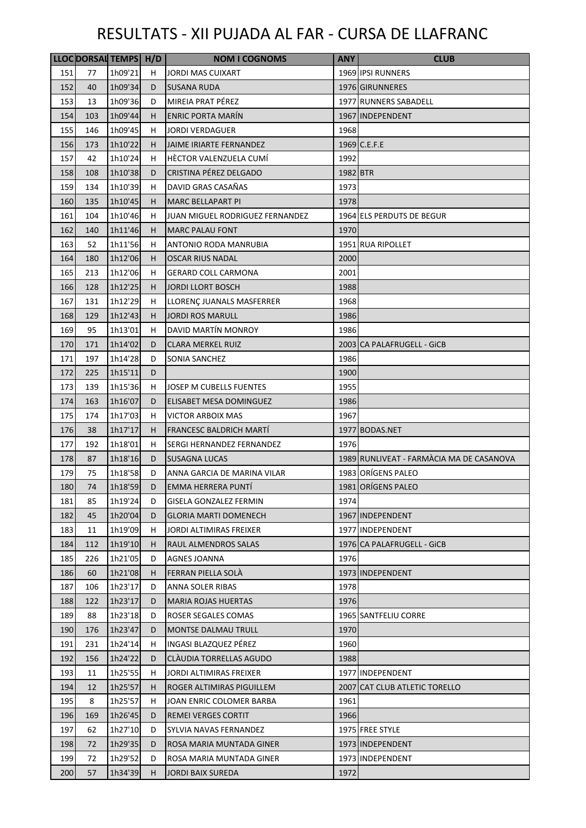|            |     | LLOC DORSAL TEMPS H/D |    | <b>NOM I COGNOMS</b>            | <b>ANY</b> | <b>CLUB</b>                              |
|------------|-----|-----------------------|----|---------------------------------|------------|------------------------------------------|
| 151        | 77  | 1h09'21               | H  | <b>JORDI MAS CUIXART</b>        |            | 1969 IPSI RUNNERS                        |
| 152        | 40  | 1h09'34               | D  | <b>SUSANA RUDA</b>              |            | 1976 GIRUNNERES                          |
| 153        | 13  | 1h09'36               | D  | MIREIA PRAT PÉREZ               |            | 1977 RUNNERS SABADELL                    |
| 154        | 103 | 1h09'44               | н  | <b>ENRIC PORTA MARÍN</b>        |            | 1967 INDEPENDENT                         |
| 155        | 146 | 1h09'45               | н  | JORDI VERDAGUER                 | 1968       |                                          |
| 156        | 173 | 1h10'22               | H  | <b>JAIME IRIARTE FERNANDEZ</b>  |            | 1969 C.E.F.E                             |
| 157        | 42  | 1h10'24               | н  | HÉCTOR VALENZUELA CUMÍ          | 1992       |                                          |
| 158        | 108 | 1h10'38               | D  | CRISTINA PÉREZ DELGADO          | 1982 BTR   |                                          |
| 159        | 134 | 1h10'39               | н  | DAVID GRAS CASAÑAS              | 1973       |                                          |
| 160        | 135 | 1h10'45               | н  | <b>MARC BELLAPART PI</b>        | 1978       |                                          |
| 161        | 104 | 1h10'46               | н  | JUAN MIGUEL RODRIGUEZ FERNANDEZ |            | 1964 ELS PERDUTS DE BEGUR                |
| 162        | 140 | 1h11'46               | H  | <b>MARC PALAU FONT</b>          | 1970       |                                          |
| 163        | 52  | 1h11'56               | н  | <b>ANTONIO RODA MANRUBIA</b>    |            | 1951 RUA RIPOLLET                        |
| 164        | 180 | 1h12'06               | H  | OSCAR RIUS NADAL                | 2000       |                                          |
| 165        | 213 | 1h12'06               | н  | <b>GERARD COLL CARMONA</b>      | 2001       |                                          |
| 166        | 128 | 1h12'25               | H  | <b>JORDI LLORT BOSCH</b>        | 1988       |                                          |
| 167        | 131 | 1h12'29               | н  | LLORENÇ JUANALS MASFERRER       | 1968       |                                          |
| 168        | 129 | 1h12'43               | H  | <b>JORDI ROS MARULL</b>         | 1986       |                                          |
| 169        | 95  | 1h13'01               | н  | DAVID MARTÍN MONROY             | 1986       |                                          |
| 170        | 171 | 1h14'02               | D  | <b>CLARA MERKEL RUIZ</b>        |            | 2003 CA PALAFRUGELL - GICB               |
| 171        | 197 | 1h14'28               | D  | SONIA SANCHEZ                   | 1986       |                                          |
| 172        | 225 | 1h15'11               | D  |                                 | 1900       |                                          |
| 173        | 139 | 1h15'36               | н  | JOSEP M CUBELLS FUENTES         | 1955       |                                          |
| 174        | 163 | 1h16'07               | D  | ELISABET MESA DOMINGUEZ         | 1986       |                                          |
| 175        | 174 | 1h17'03               | н  | <b>VICTOR ARBOIX MAS</b>        | 1967       |                                          |
|            | 38  |                       |    | FRANCESC BALDRICH MARTÍ         |            | 1977 BODAS.NET                           |
| 176<br>177 | 192 | 1h17'17<br>1h18'01    | H. |                                 | 1976       |                                          |
|            |     |                       | н  | SERGI HERNANDEZ FERNANDEZ       |            |                                          |
| 178        | 87  | 1h18'16               | D  | <b>SUSAGNA LUCAS</b>            |            | 1989 RUNLIVEAT - FARMÀCIA MA DE CASANOVA |
| 179        | 75  | 1h18'58               | D  | ANNA GARCIA DE MARINA VILAR     |            | 1983 ORÍGENS PALEO<br>1981 ORÍGENS PALEO |
| 180        | 74  | 1h18'59               | D  | EMMA HERRERA PUNTI              |            |                                          |
| 181        | 85  | 1h19'24               | D  | GISELA GONZALEZ FERMIN          | 1974       |                                          |
| 182        | 45  | 1h20'04               | D  | <b>GLORIA MARTI DOMENECH</b>    |            | 1967 INDEPENDENT                         |
| 183        | 11  | 1h19'09               | н  | JORDI ALTIMIRAS FREIXER         |            | 1977 INDEPENDENT                         |
| 184        | 112 | 1h19'10               | н  | RAUL ALMENDROS SALAS            |            | 1976 CA PALAFRUGELL - GICB               |
| 185        | 226 | 1h21'05               | D  | AGNES JOANNA                    | 1976       |                                          |
| 186        | 60  | 1h21'08               | н  | FERRAN PIELLA SOLA              |            | 1973 INDEPENDENT                         |
| 187        | 106 | 1h23'17               | D  | ANNA SOLER RIBAS                | 1978       |                                          |
| 188        | 122 | 1h23'17               | D  | <b>MARIA ROJAS HUERTAS</b>      | 1976       |                                          |
| 189        | 88  | 1h23'18               | D  | ROSER SEGALES COMAS             |            | 1965 SANTFELIU CORRE                     |
| 190        | 176 | 1h23'47               | D  | <b>MONTSE DALMAU TRULL</b>      | 1970       |                                          |
| 191        | 231 | 1h24'14               | н  | INGASI BLAZQUEZ PÉREZ           | 1960       |                                          |
| 192        | 156 | 1h24'22               | D  | CLAUDIA TORRELLAS AGUDO         | 1988       |                                          |
| 193        | 11  | 1h25'55               | н  | JORDI ALTIMIRAS FREIXER         |            | 1977 INDEPENDENT                         |
| 194        | 12  | 1h25'57               | H  | ROGER ALTIMIRAS PIGUILLEM       |            | 2007 CAT CLUB ATLETIC TORELLO            |
| 195        | 8   | 1h25'57               | н  | JOAN ENRIC COLOMER BARBA        | 1961       |                                          |
| 196        | 169 | 1h26'45               | D  | <b>REMEI VERGES CORTIT</b>      | 1966       |                                          |
| 197        | 62  | 1h27'10               | D  | SYLVIA NAVAS FERNANDEZ          |            | 1975 FREE STYLE                          |
| 198        | 72  | 1h29'35               | D  | ROSA MARIA MUNTADA GINER        |            | 1973 INDEPENDENT                         |
| 199        | 72  | 1h29'52               | D  | ROSA MARIA MUNTADA GINER        |            | 1973 INDEPENDENT                         |
| 200        | 57  | 1h34'39               | н  | JORDI BAIX SUREDA               | 1972       |                                          |